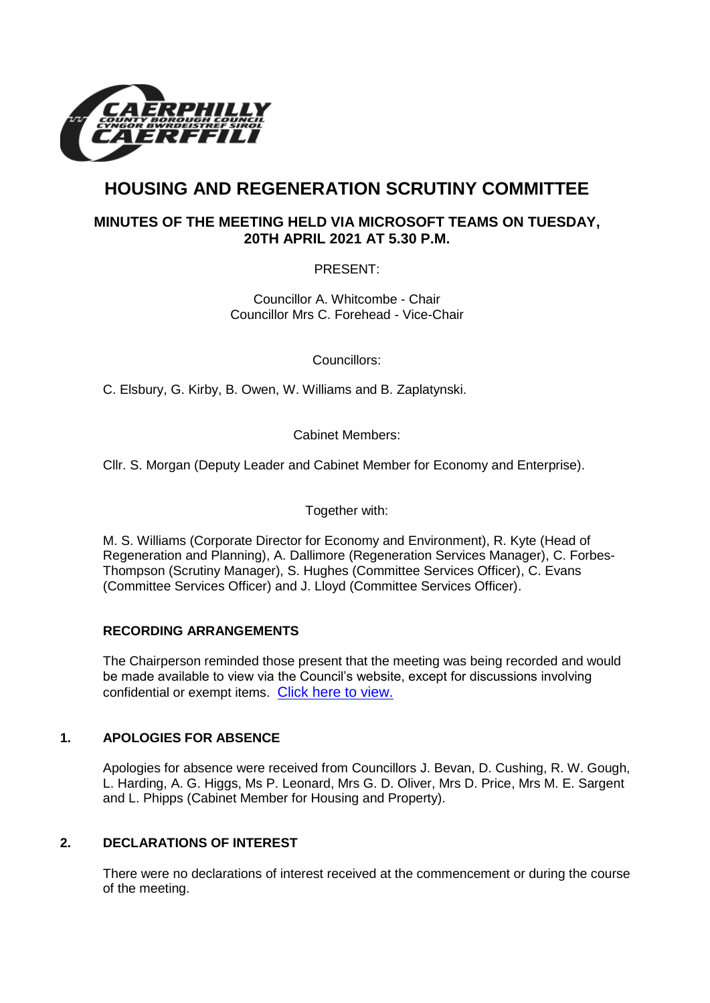

# **HOUSING AND REGENERATION SCRUTINY COMMITTEE**

## **MINUTES OF THE MEETING HELD VIA MICROSOFT TEAMS ON TUESDAY, 20TH APRIL 2021 AT 5.30 P.M.**

PRESENT:

Councillor A. Whitcombe - Chair Councillor Mrs C. Forehead - Vice-Chair

Councillors:

C. Elsbury, G. Kirby, B. Owen, W. Williams and B. Zaplatynski.

Cabinet Members:

Cllr. S. Morgan (Deputy Leader and Cabinet Member for Economy and Enterprise).

Together with:

M. S. Williams (Corporate Director for Economy and Environment), R. Kyte (Head of Regeneration and Planning), A. Dallimore (Regeneration Services Manager), C. Forbes-Thompson (Scrutiny Manager), S. Hughes (Committee Services Officer), C. Evans (Committee Services Officer) and J. Lloyd (Committee Services Officer).

#### **RECORDING ARRANGEMENTS**

The Chairperson reminded those present that the meeting was being recorded and would be made available to view via the Council's website, except for discussions involving confidential or exempt items. [Click here to view.](https://www.caerphilly.gov.uk/My-Council/Meetings,-agendas,-minutes-and-reports/Council-meetings)

#### **1. APOLOGIES FOR ABSENCE**

Apologies for absence were received from Councillors J. Bevan, D. Cushing, R. W. Gough, L. Harding, A. G. Higgs, Ms P. Leonard, Mrs G. D. Oliver, Mrs D. Price, Mrs M. E. Sargent and L. Phipps (Cabinet Member for Housing and Property).

### **2. DECLARATIONS OF INTEREST**

There were no declarations of interest received at the commencement or during the course of the meeting.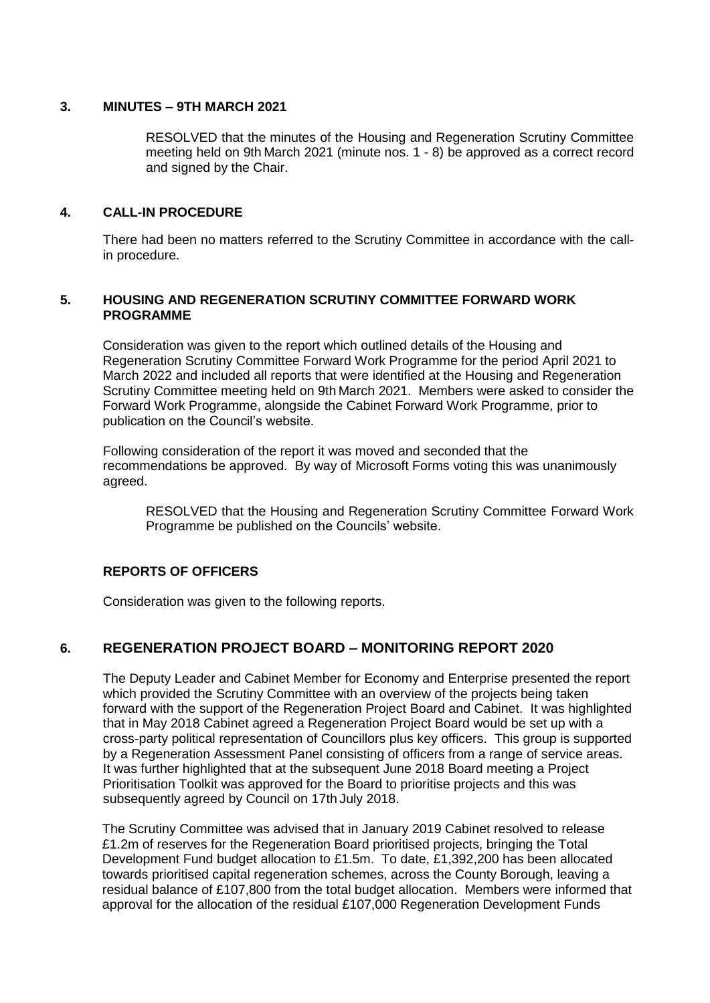#### **3. MINUTES – 9TH MARCH 2021**

RESOLVED that the minutes of the Housing and Regeneration Scrutiny Committee meeting held on 9th March 2021 (minute nos. 1 - 8) be approved as a correct record and signed by the Chair.

#### **4. CALL-IN PROCEDURE**

There had been no matters referred to the Scrutiny Committee in accordance with the callin procedure.

#### **5. HOUSING AND REGENERATION SCRUTINY COMMITTEE FORWARD WORK PROGRAMME**

Consideration was given to the report which outlined details of the Housing and Regeneration Scrutiny Committee Forward Work Programme for the period April 2021 to March 2022 and included all reports that were identified at the Housing and Regeneration Scrutiny Committee meeting held on 9th March 2021. Members were asked to consider the Forward Work Programme, alongside the Cabinet Forward Work Programme, prior to publication on the Council's website.

Following consideration of the report it was moved and seconded that the recommendations be approved. By way of Microsoft Forms voting this was unanimously agreed.

RESOLVED that the Housing and Regeneration Scrutiny Committee Forward Work Programme be published on the Councils' website.

#### **REPORTS OF OFFICERS**

Consideration was given to the following reports.

## **6. REGENERATION PROJECT BOARD – MONITORING REPORT 2020**

The Deputy Leader and Cabinet Member for Economy and Enterprise presented the report which provided the Scrutiny Committee with an overview of the projects being taken forward with the support of the Regeneration Project Board and Cabinet. It was highlighted that in May 2018 Cabinet agreed a Regeneration Project Board would be set up with a cross-party political representation of Councillors plus key officers. This group is supported by a Regeneration Assessment Panel consisting of officers from a range of service areas. It was further highlighted that at the subsequent June 2018 Board meeting a Project Prioritisation Toolkit was approved for the Board to prioritise projects and this was subsequently agreed by Council on 17th July 2018.

The Scrutiny Committee was advised that in January 2019 Cabinet resolved to release £1.2m of reserves for the Regeneration Board prioritised projects, bringing the Total Development Fund budget allocation to £1.5m. To date, £1,392,200 has been allocated towards prioritised capital regeneration schemes, across the County Borough, leaving a residual balance of £107,800 from the total budget allocation. Members were informed that approval for the allocation of the residual £107,000 Regeneration Development Funds